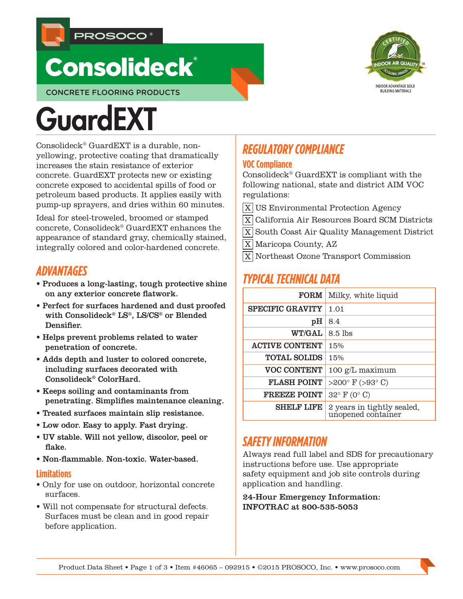

## **Consolideck®**

CONCRETE FLOORING PRODUCTS

# **GuardEXT**

Consolideck® GuardEXT is a durable, nonyellowing, protective coating that dramatically increases the stain resistance of exterior concrete. GuardEXT protects new or existing concrete exposed to accidental spills of food or petroleum based products. It applies easily with pump-up sprayers, and dries within 60 minutes.

Ideal for steel-troweled, broomed or stamped concrete, Consolideck® GuardEXT enhances the appearance of standard gray, chemically stained, integrally colored and color-hardened concrete.

## *ADVANTAGES*

- Produces a long-lasting, tough protective shine on any exterior concrete flatwork.
- Perfect for surfaces hardened and dust proofed with Consolideck® LS®, LS/CS® or Blended Densifier.
- Helps prevent problems related to water penetration of concrete.
- Adds depth and luster to colored concrete, including surfaces decorated with Consolideck® ColorHard.
- Keeps soiling and contaminants from penetrating. Simplifies maintenance cleaning.
- Treated surfaces maintain slip resistance.
- Low odor. Easy to apply. Fast drying.
- UV stable. Will not yellow, discolor, peel or flake.
- Non-flammable. Non-toxic. Water-based.

#### **Limitations**

- Only for use on outdoor, horizontal concrete surfaces.
- Will not compensate for structural defects. Surfaces must be clean and in good repair before application.

## *REGULATORY COMPLIANCE*

#### **VOC Compliance**

Consolideck® GuardEXT is compliant with the following national, state and district AIM VOC regulations:

- $\overline{X}$  US Environmental Protection Agency
- X California Air Resources Board SCM Districts
- X South Coast Air Quality Management District
- X Maricopa County, AZ
- X Northeast Ozone Transport Commission

## *TYPICAL TECHNICAL DATA*

| <b>FORM</b>             | Milky, white liquid                              |
|-------------------------|--------------------------------------------------|
| <b>SPECIFIC GRAVITY</b> | 1.01                                             |
| pH                      | 8.4                                              |
| <b>WT/GAL</b>           | $8.5$ lbs                                        |
| <b>ACTIVE CONTENT</b>   | 15%                                              |
| <b>TOTAL SOLIDS</b>     | 15%                                              |
| <b>VOC CONTENT</b>      | 100 g/L maximum                                  |
| <b>FLASH POINT</b>      | >200 $\degree$ F (>93 $\degree$ C)               |
| <b>FREEZE POINT</b>     | $32^{\circ}$ F (0° C)                            |
| <b>SHELF LIFE</b>       | 2 years in tightly sealed,<br>unopened container |

## *SAFETY INFORMATION*

Always read full label and SDS for precautionary instructions before use. Use appropriate safety equipment and job site controls during application and handling.

24-Hour Emergency Information: INFOTRAC at 800-535-5053

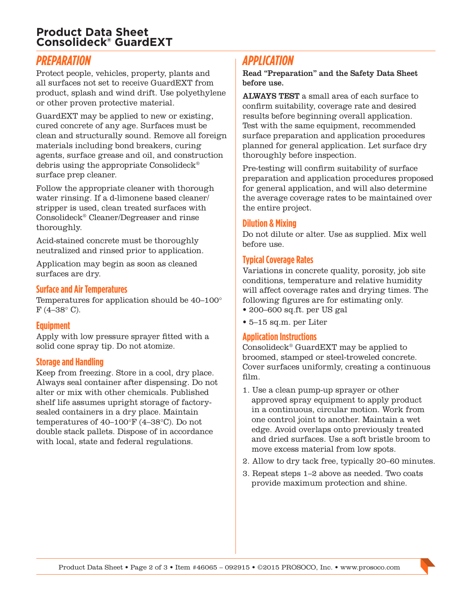#### **Product Data Sheet Consolideck® GuardEXT**

## *PREPARATION*

Protect people, vehicles, property, plants and all surfaces not set to receive GuardEXT from product, splash and wind drift. Use polyethylene or other proven protective material.

GuardEXT may be applied to new or existing, cured concrete of any age. Surfaces must be clean and structurally sound. Remove all foreign materials including bond breakers, curing agents, surface grease and oil, and construction debris using the appropriate Consolideck® surface prep cleaner.

Follow the appropriate cleaner with thorough water rinsing. If a d-limonene based cleaner/ stripper is used, clean treated surfaces with Consolideck® Cleaner/Degreaser and rinse thoroughly.

Acid-stained concrete must be thoroughly neutralized and rinsed prior to application.

Application may begin as soon as cleaned surfaces are dry.

#### **Surface and Air Temperatures**

Temperatures for application should be 40–100°  $F(4-38° C)$ .

#### **Equipment**

Apply with low pressure sprayer fitted with a solid cone spray tip. Do not atomize.

#### **Storage and Handling**

Keep from freezing. Store in a cool, dry place. Always seal container after dispensing. Do not alter or mix with other chemicals. Published shelf life assumes upright storage of factorysealed containers in a dry place. Maintain temperatures of 40–100°F (4–38°C). Do not double stack pallets. Dispose of in accordance with local, state and federal regulations.

## *APPLICATION*

Read "Preparation" and the Safety Data Sheet before use.

ALWAYS TEST a small area of each surface to confirm suitability, coverage rate and desired results before beginning overall application. Test with the same equipment, recommended surface preparation and application procedures planned for general application. Let surface dry thoroughly before inspection.

Pre-testing will confirm suitability of surface preparation and application procedures proposed for general application, and will also determine the average coverage rates to be maintained over the entire project.

#### **Dilution & Mixing**

Do not dilute or alter. Use as supplied. Mix well before use.

#### **Typical Coverage Rates**

Variations in concrete quality, porosity, job site conditions, temperature and relative humidity will affect coverage rates and drying times. The following figures are for estimating only. • 200–600 sq.ft. per US gal

• 5–15 sq.m. per Liter

#### **Application Instructions**

Consolideck® GuardEXT may be applied to broomed, stamped or steel-troweled concrete. Cover surfaces uniformly, creating a continuous film.

- 1. Use a clean pump-up sprayer or other approved spray equipment to apply product in a continuous, circular motion. Work from one control joint to another. Maintain a wet edge. Avoid overlaps onto previously treated and dried surfaces. Use a soft bristle broom to move excess material from low spots.
- 2. Allow to dry tack free, typically 20–60 minutes.
- 3. Repeat steps 1–2 above as needed. Two coats provide maximum protection and shine.